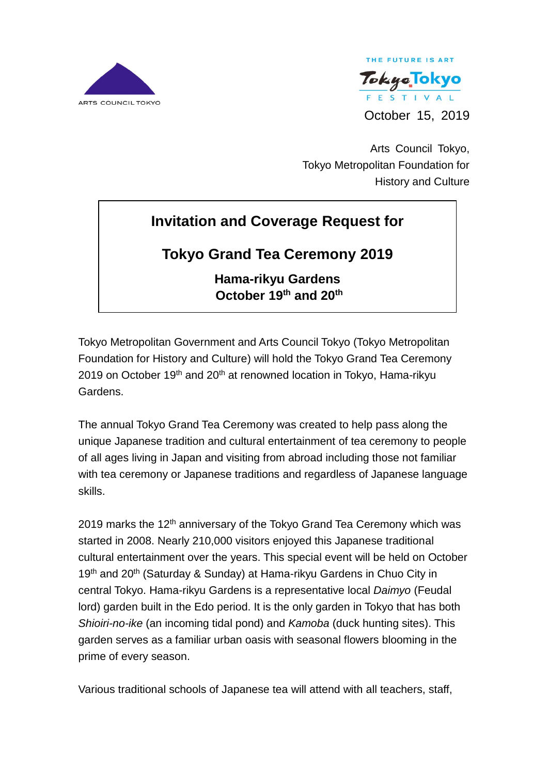



Arts Council Tokyo, Tokyo Metropolitan Foundation for History and Culture

# **Invitation and Coverage Request for**

# **Tokyo Grand Tea Ceremony 2019**

**Hama-rikyu Gardens October 19 th and 20th**

Tokyo Metropolitan Government and Arts Council Tokyo (Tokyo Metropolitan Foundation for History and Culture) will hold the Tokyo Grand Tea Ceremony 2019 on October 19<sup>th</sup> and 20<sup>th</sup> at renowned location in Tokyo, Hama-rikyu Gardens.

The annual Tokyo Grand Tea Ceremony was created to help pass along the unique Japanese tradition and cultural entertainment of tea ceremony to people of all ages living in Japan and visiting from abroad including those not familiar with tea ceremony or Japanese traditions and regardless of Japanese language skills.

2019 marks the  $12<sup>th</sup>$  anniversary of the Tokyo Grand Tea Ceremony which was started in 2008. Nearly 210,000 visitors enjoyed this Japanese traditional cultural entertainment over the years. This special event will be held on October 19<sup>th</sup> and 20<sup>th</sup> (Saturday & Sunday) at Hama-rikyu Gardens in Chuo City in central Tokyo. Hama-rikyu Gardens is a representative local *Daimyo* (Feudal lord) garden built in the Edo period. It is the only garden in Tokyo that has both *Shioiri-no-ike* (an incoming tidal pond) and *Kamoba* (duck hunting sites). This garden serves as a familiar urban oasis with seasonal flowers blooming in the prime of every season.

Various traditional schools of Japanese tea will attend with all teachers, staff,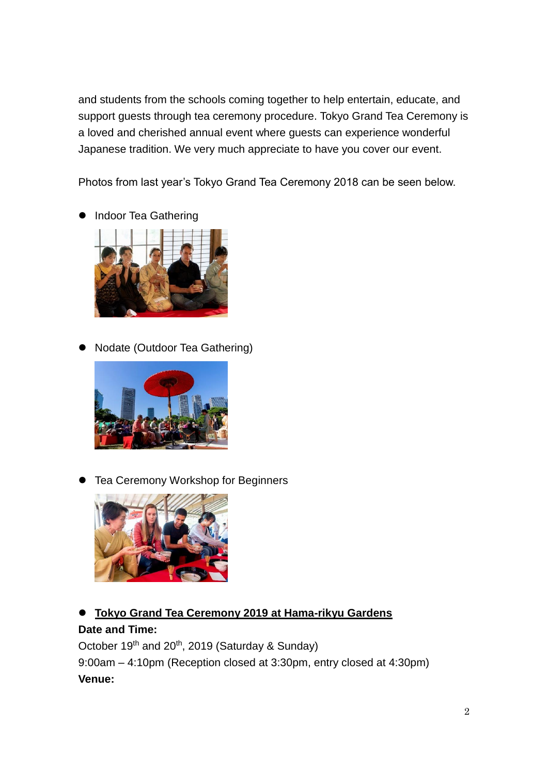and students from the schools coming together to help entertain, educate, and support guests through tea ceremony procedure. Tokyo Grand Tea Ceremony is a loved and cherished annual event where guests can experience wonderful Japanese tradition. We very much appreciate to have you cover our event.

Photos from last year's Tokyo Grand Tea Ceremony 2018 can be seen below.

**•** Indoor Tea Gathering



**Nodate (Outdoor Tea Gathering)** 



Tea Ceremony Workshop for Beginners



**Tokyo Grand Tea Ceremony 2019 at Hama-rikyu Gardens**

## **Date and Time:**

October 19<sup>th</sup> and 20<sup>th</sup>, 2019 (Saturday & Sunday)

9:00am – 4:10pm (Reception closed at 3:30pm, entry closed at 4:30pm) **Venue:**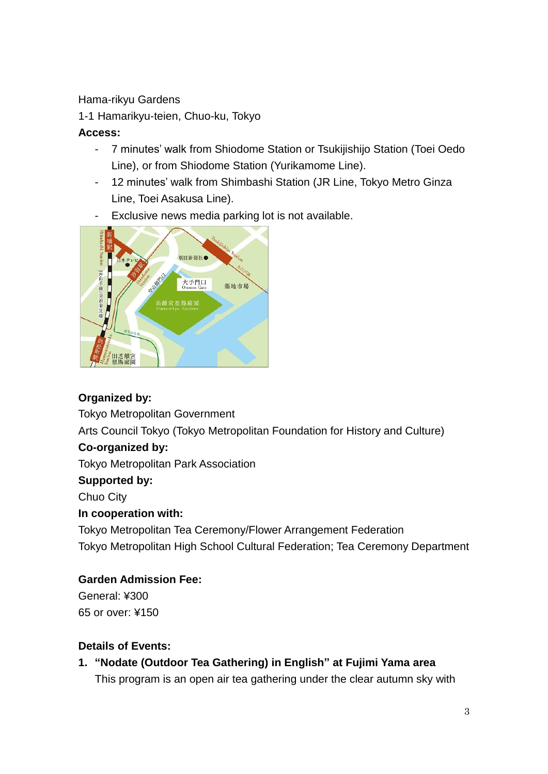#### Hama-rikyu Gardens

1-1 Hamarikyu-teien, Chuo-ku, Tokyo

### **Access:**

- 7 minutes' walk from Shiodome Station or Tsukijishijo Station (Toei Oedo Line), or from Shiodome Station (Yurikamome Line).
- 12 minutes' walk from Shimbashi Station (JR Line, Tokyo Metro Ginza Line, Toei Asakusa Line).
- Exclusive news media parking lot is not available.



# **Organized by:**

Tokyo Metropolitan Government Arts Council Tokyo (Tokyo Metropolitan Foundation for History and Culture)

# **Co-organized by:**

Tokyo Metropolitan Park Association

### **Supported by:**

Chuo City

### **In cooperation with:**

Tokyo Metropolitan Tea Ceremony/Flower Arrangement Federation Tokyo Metropolitan High School Cultural Federation; Tea Ceremony Department

### **Garden Admission Fee:**

General: ¥300 65 or over: ¥150

### **Details of Events:**

**1. "Nodate (Outdoor Tea Gathering) in English" at Fujimi Yama area** This program is an open air tea gathering under the clear autumn sky with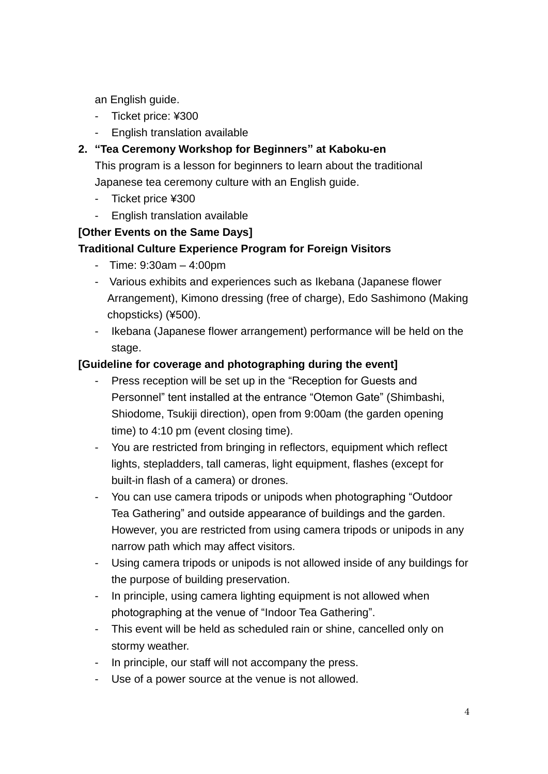an English guide.

- Ticket price: ¥300
- English translation available

## **2. "Tea Ceremony Workshop for Beginners" at Kaboku-en**

This program is a lesson for beginners to learn about the traditional Japanese tea ceremony culture with an English guide.

- Ticket price ¥300
- English translation available

### **[Other Events on the Same Days]**

#### **Traditional Culture Experience Program for Foreign Visitors**

- Time: 9:30am 4:00pm
- Various exhibits and experiences such as Ikebana (Japanese flower Arrangement), Kimono dressing (free of charge), Edo Sashimono (Making chopsticks) (¥500).
- Ikebana (Japanese flower arrangement) performance will be held on the stage.

### **[Guideline for coverage and photographing during the event]**

- Press reception will be set up in the "Reception for Guests and Personnel" tent installed at the entrance "Otemon Gate" (Shimbashi, Shiodome, Tsukiji direction), open from 9:00am (the garden opening time) to 4:10 pm (event closing time).
- You are restricted from bringing in reflectors, equipment which reflect lights, stepladders, tall cameras, light equipment, flashes (except for built-in flash of a camera) or drones.
- You can use camera tripods or unipods when photographing "Outdoor Tea Gathering" and outside appearance of buildings and the garden. However, you are restricted from using camera tripods or unipods in any narrow path which may affect visitors.
- Using camera tripods or unipods is not allowed inside of any buildings for the purpose of building preservation.
- In principle, using camera lighting equipment is not allowed when photographing at the venue of "Indoor Tea Gathering".
- This event will be held as scheduled rain or shine, cancelled only on stormy weather.
- In principle, our staff will not accompany the press.
- Use of a power source at the venue is not allowed.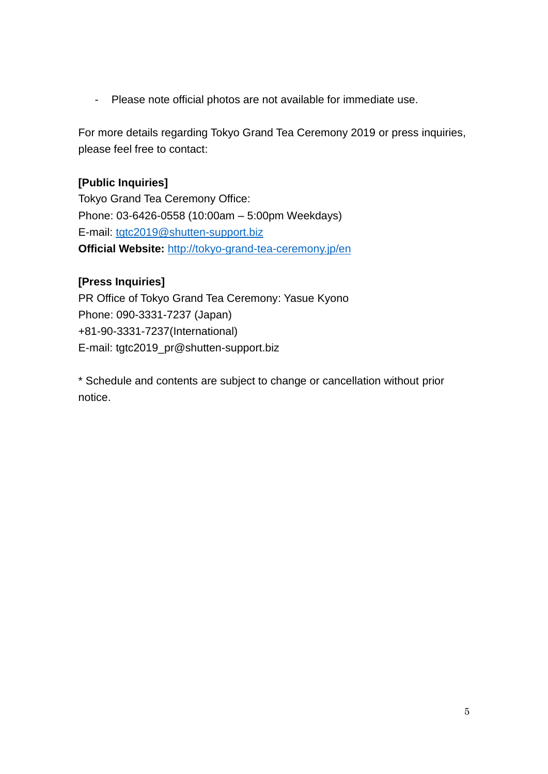- Please note official photos are not available for immediate use.

For more details regarding Tokyo Grand Tea Ceremony 2019 or press inquiries, please feel free to contact:

#### **[Public Inquiries]**

Tokyo Grand Tea Ceremony Office: Phone: 03-6426-0558 (10:00am – 5:00pm Weekdays) E-mail: [tgtc2019@shutten-support.biz](mailto:tgtc2019@shutten-support.biz) **Official Website:** <http://tokyo-grand-tea-ceremony.jp/en>

#### **[Press Inquiries]**

PR Office of Tokyo Grand Tea Ceremony: Yasue Kyono Phone: 090-3331-7237 (Japan) +81-90-3331-7237(International) E-mail: tgtc2019\_pr@shutten-support.biz

\* Schedule and contents are subject to change or cancellation without prior notice.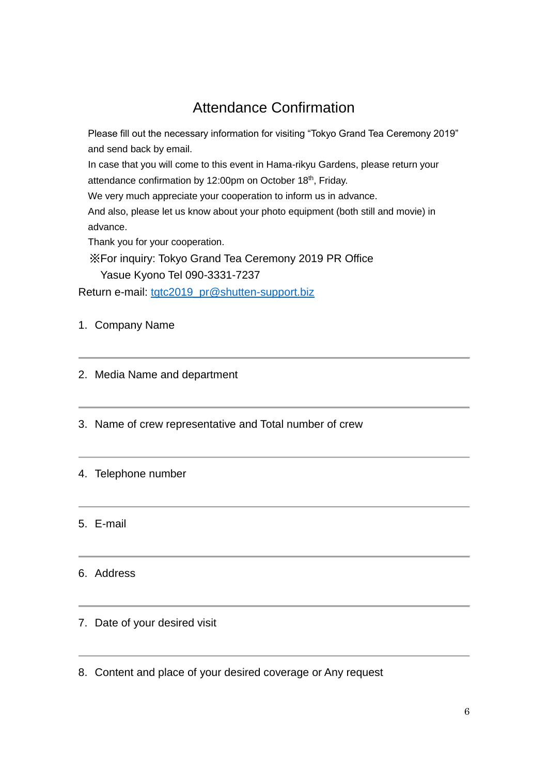# Attendance Confirmation

Please fill out the necessary information for visiting "Tokyo Grand Tea Ceremony 2019" and send back by email.

In case that you will come to this event in Hama-rikyu Gardens, please return your attendance confirmation by 12:00pm on October 18<sup>th</sup>, Friday.

We very much appreciate your cooperation to inform us in advance.

And also, please let us know about your photo equipment (both still and movie) in advance.

Thank you for your cooperation.

※For inquiry: Tokyo Grand Tea Ceremony 2019 PR Office Yasue Kyono Tel 090-3331-7237

Return e-mail: [tgtc2019\\_pr@shutten-support.biz](mailto:tgtc2019_pr@shutten-support.biz)

1. Company Name

- 2. Media Name and department
- 3. Name of crew representative and Total number of crew
- 4. Telephone number

5. E-mail

#### 6. Address

#### 7. Date of your desired visit

8. Content and place of your desired coverage or Any request